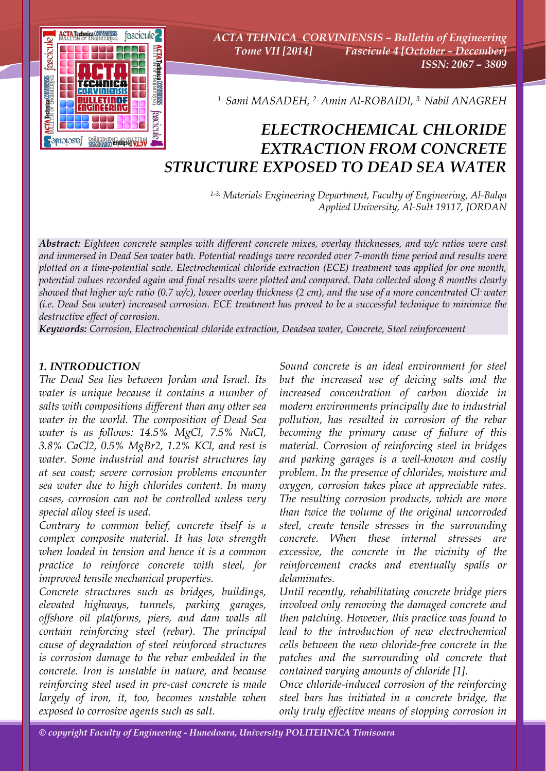

*ACTA TEHNICA CORVINIENSIS – Bulletin of Engineering Tome VII [2014] Fascicule 4 [October – December] ISSN: 2067 – 3809* 

*1. Sami MASADEH, 2. Amin Al-ROBAIDI, 3. Nabil ANAGREH*

# *ELECTROCHEMICAL CHLORIDE EXTRACTION FROM CONCRETE STRUCTURE EXPOSED TO DEAD SEA WATER*

*1-3. Materials Engineering Department, Faculty of Engineering, Al-Balqa Applied University, Al-Sult 19117, JORDAN*

*Abstract: Eighteen concrete samples with different concrete mixes, overlay thicknesses, and w/c ratios were cast and immersed in Dead Sea water bath. Potential readings were recorded over 7-month time period and results were plotted on a time-potential scale. Electrochemical chloride extraction (ECE) treatment was applied for one month, potential values recorded again and final results were plotted and compared. Data collected along 8 months clearly showed that higher w/c ratio (0.7 w/c), lower overlay thickness (2 cm), and the use of a more concentrated Cl- water (i.e. Dead Sea water) increased corrosion. ECE treatment has proved to be a successful technique to minimize the destructive effect of corrosion.* 

*Keywords: Corrosion, Electrochemical chloride extraction, Deadsea water, Concrete, Steel reinforcement*

## *1. INTRODUCTION*

*The Dead Sea lies between Jordan and Israel. Its water is unique because it contains a number of salts with compositions different than any other sea water in the world. The composition of Dead Sea water is as follows: 14.5% MgCl, 7.5% NaCl, 3.8% CaCl2, 0.5% MgBr2, 1.2% KCl, and rest is water. Some industrial and tourist structures lay at sea coast; severe corrosion problems encounter sea water due to high chlorides content. In many cases, corrosion can not be controlled unless very special alloy steel is used.* 

*Contrary to common belief, concrete itself is a complex composite material. It has low strength when loaded in tension and hence it is a common practice to reinforce concrete with steel, for improved tensile mechanical properties.* 

*Concrete structures such as bridges, buildings, elevated highways, tunnels, parking garages, offshore oil platforms, piers, and dam walls all contain reinforcing steel (rebar). The principal cause of degradation of steel reinforced structures is corrosion damage to the rebar embedded in the concrete. Iron is unstable in nature, and because reinforcing steel used in pre-cast concrete is made largely of iron, it, too, becomes unstable when exposed to corrosive agents such as salt.* 

*Sound concrete is an ideal environment for steel but the increased use of deicing salts and the increased concentration of carbon dioxide in modern environments principally due to industrial pollution, has resulted in corrosion of the rebar becoming the primary cause of failure of this material. Corrosion of reinforcing steel in bridges and parking garages is a well-known and costly problem. In the presence of chlorides, moisture and oxygen, corrosion takes place at appreciable rates. The resulting corrosion products, which are more than twice the volume of the original uncorroded steel, create tensile stresses in the surrounding concrete. When these internal stresses are excessive, the concrete in the vicinity of the reinforcement cracks and eventually spalls or delaminates.* 

*Until recently, rehabilitating concrete bridge piers involved only removing the damaged concrete and then patching. However, this practice was found to lead to the introduction of new electrochemical cells between the new chloride-free concrete in the patches and the surrounding old concrete that contained varying amounts of chloride [1].* 

*Once chloride-induced corrosion of the reinforcing steel bars has initiated in a concrete bridge, the only truly effective means of stopping corrosion in*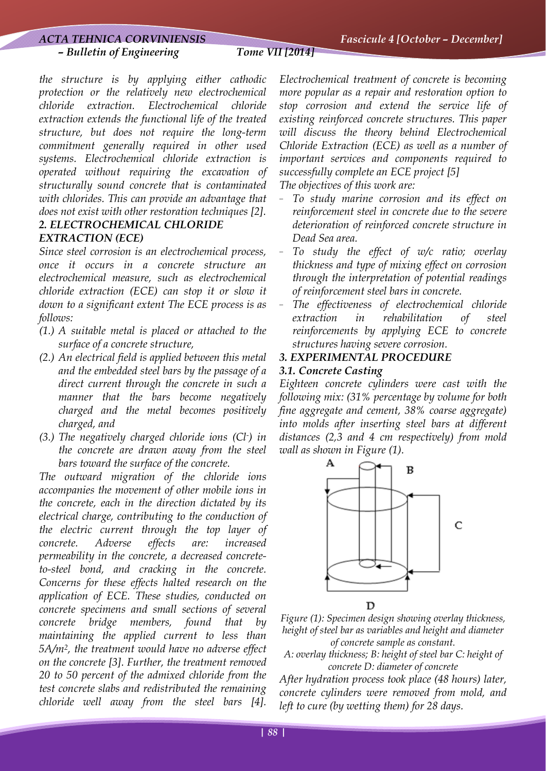#### *ACTA TEHNICA CORVINIENSIS Fascicule 4 [October – December]*

#### *– Bulletin of Engineering Tome VII [2014]*

*the structure is by applying either cathodic protection or the relatively new electrochemical chloride extraction. Electrochemical chloride extraction extends the functional life of the treated structure, but does not require the long-term commitment generally required in other used systems. Electrochemical chloride extraction is operated without requiring the excavation of structurally sound concrete that is contaminated with chlorides. This can provide an advantage that does not exist with other restoration techniques [2]. 2. ELECTROCHEMICAL CHLORIDE* 

# *EXTRACTION (ECE)*

*Since steel corrosion is an electrochemical process, once it occurs in a concrete structure an electrochemical measure, such as electrochemical chloride extraction (ECE) can stop it or slow it down to a significant extent The ECE process is as follows:* 

- *(1.) A suitable metal is placed or attached to the surface of a concrete structure,*
- *(2.) An electrical field is applied between this metal and the embedded steel bars by the passage of a direct current through the concrete in such a manner that the bars become negatively charged and the metal becomes positively charged, and*
- *(3.) The negatively charged chloride ions (Cl- ) in the concrete are drawn away from the steel bars toward the surface of the concrete.*

*The outward migration of the chloride ions accompanies the movement of other mobile ions in the concrete, each in the direction dictated by its electrical charge, contributing to the conduction of the electric current through the top layer of concrete. Adverse effects are: increased permeability in the concrete, a decreased concreteto-steel bond, and cracking in the concrete. Concerns for these effects halted research on the application of ECE. These studies, conducted on concrete specimens and small sections of several concrete bridge members, found that by maintaining the applied current to less than 5A/m2, the treatment would have no adverse effect on the concrete [3]. Further, the treatment removed 20 to 50 percent of the admixed chloride from the test concrete slabs and redistributed the remaining chloride well away from the steel bars [4].* 

*Electrochemical treatment of concrete is becoming more popular as a repair and restoration option to stop corrosion and extend the service life of existing reinforced concrete structures. This paper will discuss the theory behind Electrochemical Chloride Extraction (ECE) as well as a number of important services and components required to successfully complete an ECE project [5] The objectives of this work are:* 

- *To study marine corrosion and its effect on reinforcement steel in concrete due to the severe deterioration of reinforced concrete structure in Dead Sea area.* 

- *To study the effect of w/c ratio; overlay thickness and type of mixing effect on corrosion through the interpretation of potential readings of reinforcement steel bars in concrete.*
- The effectiveness of electrochemical chloride *extraction in rehabilitation of steel reinforcements by applying ECE to concrete structures having severe corrosion.*

# *3. EXPERIMENTAL PROCEDURE*

# *3.1. Concrete Casting*

*Eighteen concrete cylinders were cast with the following mix: (31% percentage by volume for both fine aggregate and cement, 38% coarse aggregate) into molds after inserting steel bars at different distances (2,3 and 4 cm respectively) from mold wall as shown in Figure (1).* 



*Figure (1): Specimen design showing overlay thickness, height of steel bar as variables and height and diameter of concrete sample as constant.* 

*A: overlay thickness; B: height of steel bar C: height of concrete D: diameter of concrete*

*After hydration process took place (48 hours) later, concrete cylinders were removed from mold, and left to cure (by wetting them) for 28 days.*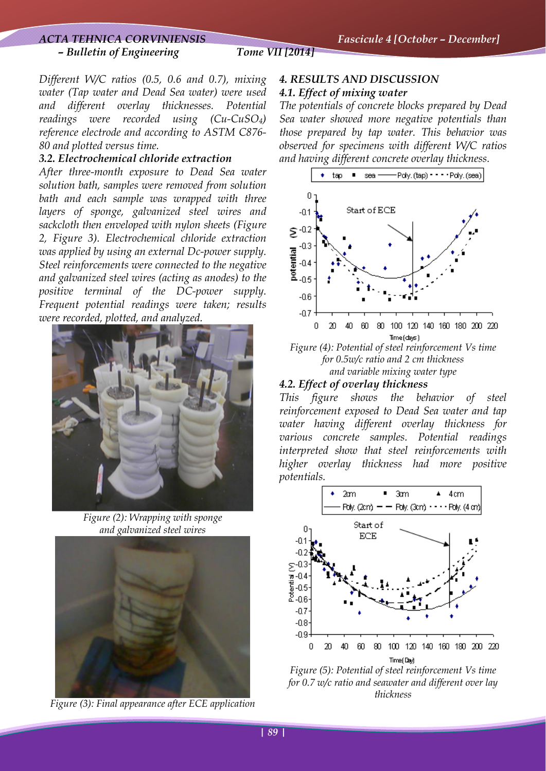### *– Bulletin of Engineering Tome VII [2014]*

*Different W/C ratios (0.5, 0.6 and 0.7), mixing water (Tap water and Dead Sea water) were used and different overlay thicknesses. Potential readings were recorded using (Cu-CuSO4) reference electrode and according to ASTM C876- 80 and plotted versus time.* 

#### *3.2. Electrochemical chloride extraction*

*After three-month exposure to Dead Sea water solution bath, samples were removed from solution bath and each sample was wrapped with three layers of sponge, galvanized steel wires and sackcloth then enveloped with nylon sheets (Figure 2, Figure 3). Electrochemical chloride extraction was applied by using an external Dc-power supply. Steel reinforcements were connected to the negative and galvanized steel wires (acting as anodes) to the positive terminal of the DC-power supply. Frequent potential readings were taken; results were recorded, plotted, and analyzed.* 



*Figure (2): Wrapping with sponge and galvanized steel wires* 



*Figure (3): Final appearance after ECE application*

## *4. RESULTS AND DISCUSSION 4.1. Effect of mixing water*

*The potentials of concrete blocks prepared by Dead Sea water showed more negative potentials than those prepared by tap water. This behavior was observed for specimens with different W/C ratios and having different concrete overlay thickness.* 



*for 0.5w/c ratio and 2 cm thickness and variable mixing water type*

#### *4.2. Effect of overlay thickness*

*This figure shows the behavior of steel reinforcement exposed to Dead Sea water and tap water having different overlay thickness for various concrete samples. Potential readings interpreted show that steel reinforcements with higher overlay thickness had more positive potentials.* 



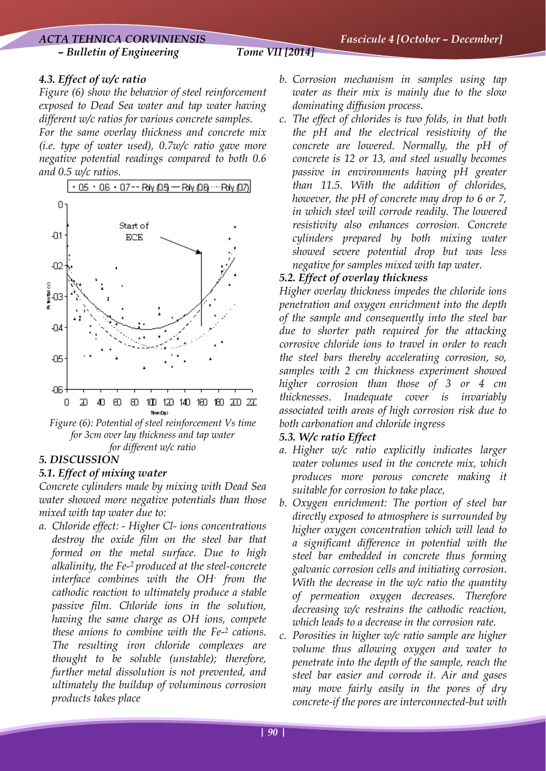## *ACTA TEHNICA CORVINIENSIS Fascicule 4 [October – December] – Bulletin of Engineering Tome VII [2014]*

# *4.3. Effect of w/c ratio*

*Figure (6) show the behavior of steel reinforcement exposed to Dead Sea water and tap water having different w/c ratios for various concrete samples. For the same overlay thickness and concrete mix (i.e. type of water used), 0.7w/c ratio gave more negative potential readings compared to both 0.6 and 0.5 w/c ratios.* 



*Figure (6): Potential of steel reinforcement Vs time for 3cm over lay thickness and tap water for different w/c ratio* 

# *5. DISCUSSION*

# *5.1. Effect of mixing water*

*Concrete cylinders made by mixing with Dead Sea water showed more negative potentials than those mixed with tap water due to:* 

*a. Chloride effect: - Higher Cl- ions concentrations destroy the oxide film on the steel bar that formed on the metal surface. Due to high alkalinity, the Fe-2 produced at the steel-concrete interface combines with the OH- from the cathodic reaction to ultimately produce a stable passive film. Chloride ions in the solution, having the same charge as OH ions, compete these anions to combine with the Fe-2 cations. The resulting iron chloride complexes are thought to be soluble (unstable); therefore, further metal dissolution is not prevented, and ultimately the buildup of voluminous corrosion products takes place* 

- *b. Corrosion mechanism in samples using tap water as their mix is mainly due to the slow dominating diffusion process.*
- *c. The effect of chlorides is two folds, in that both the pH and the electrical resistivity of the concrete are lowered. Normally, the pH of concrete is 12 or 13, and steel usually becomes passive in environments having pH greater than 11.5. With the addition of chlorides, however, the pH of concrete may drop to 6 or 7, in which steel will corrode readily. The lowered resistivity also enhances corrosion. Concrete cylinders prepared by both mixing water showed severe potential drop but was less negative for samples mixed with tap water.*

# *5.2. Effect of overlay thickness*

*Higher overlay thickness impedes the chloride ions penetration and oxygen enrichment into the depth of the sample and consequently into the steel bar due to shorter path required for the attacking corrosive chloride ions to travel in order to reach the steel bars thereby accelerating corrosion, so, samples with 2 cm thickness experiment showed higher corrosion than those of 3 or 4 cm thicknesses. Inadequate cover is invariably associated with areas of high corrosion risk due to both carbonation and chloride ingress* 

## *5.3. W/c ratio Effect*

- *a. Higher w/c ratio explicitly indicates larger water volumes used in the concrete mix, which produces more porous concrete making it suitable for corrosion to take place,*
- *b. Oxygen enrichment: The portion of steel bar directly exposed to atmosphere is surrounded by higher oxygen concentration which will lead to a significant difference in potential with the steel bar embedded in concrete thus forming galvanic corrosion cells and initiating corrosion. With the decrease in the w/c ratio the quantity of permeation oxygen decreases. Therefore decreasing w/c restrains the cathodic reaction, which leads to a decrease in the corrosion rate.*
- *c. Porosities in higher w/c ratio sample are higher volume thus allowing oxygen and water to penetrate into the depth of the sample, reach the steel bar easier and corrode it. Air and gases may move fairly easily in the pores of dry concrete-if the pores are interconnected-but with*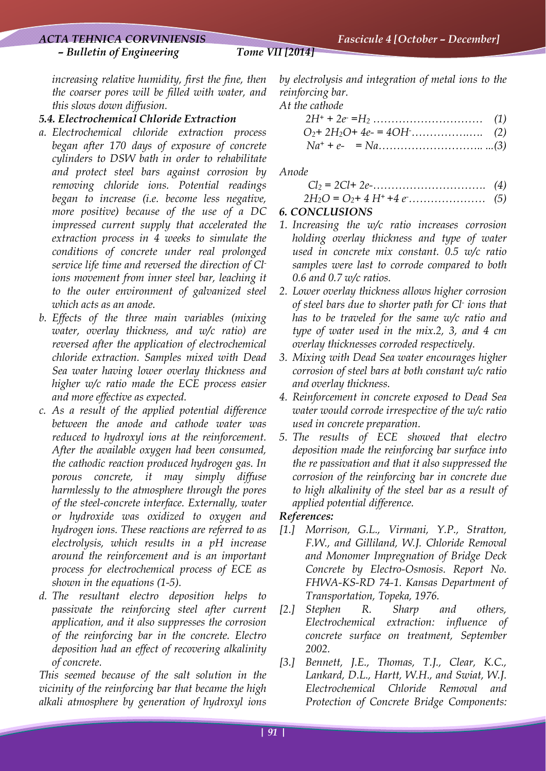#### *ACTA TEHNICA CORVINIENSIS Fascicule 4 [October – December]*

#### *– Bulletin of Engineering Tome VII [2014]*

*increasing relative humidity, first the fine, then the coarser pores will be filled with water, and this slows down diffusion.* 

#### *5.4. Electrochemical Chloride Extraction*

- *a. Electrochemical chloride extraction process began after 170 days of exposure of concrete cylinders to DSW bath in order to rehabilitate and protect steel bars against corrosion by removing chloride ions. Potential readings began to increase (i.e. become less negative, more positive) because of the use of a DC impressed current supply that accelerated the extraction process in 4 weeks to simulate the conditions of concrete under real prolonged service life time and reversed the direction of Clions movement from inner steel bar, leaching it to the outer environment of galvanized steel which acts as an anode.*
- *b. Effects of the three main variables (mixing water, overlay thickness, and w/c ratio) are reversed after the application of electrochemical chloride extraction. Samples mixed with Dead Sea water having lower overlay thickness and higher w/c ratio made the ECE process easier and more effective as expected.*
- *c. As a result of the applied potential difference between the anode and cathode water was reduced to hydroxyl ions at the reinforcement. After the available oxygen had been consumed, the cathodic reaction produced hydrogen gas. In porous concrete, it may simply diffuse harmlessly to the atmosphere through the pores of the steel-concrete interface. Externally, water or hydroxide was oxidized to oxygen and hydrogen ions. These reactions are referred to as electrolysis, which results in a pH increase around the reinforcement and is an important process for electrochemical process of ECE as shown in the equations (1-5).*
- *d. The resultant electro deposition helps to passivate the reinforcing steel after current application, and it also suppresses the corrosion of the reinforcing bar in the concrete. Electro deposition had an effect of recovering alkalinity of concrete.*

*This seemed because of the salt solution in the vicinity of the reinforcing bar that became the high alkali atmosphere by generation of hydroxyl ions* 

*by electrolysis and integration of metal ions to the reinforcing bar.* 

*At the cathode* 

*Anode* 

$$
Cl_2 = 2Cl + 2e
$$
 (4)  
2H<sub>2</sub>O = O<sub>2</sub>+ 4 H<sup>+</sup>+4 e (5)

# *6. CONCLUSIONS*

- *1. Increasing the w/c ratio increases corrosion holding overlay thickness and type of water used in concrete mix constant. 0.5 w/c ratio samples were last to corrode compared to both 0.6 and 0.7 w/c ratios.*
- *2. Lower overlay thickness allows higher corrosion of steel bars due to shorter path for Cl- ions that has to be traveled for the same w/c ratio and type of water used in the mix.2, 3, and 4 cm overlay thicknesses corroded respectively.*
- *3. Mixing with Dead Sea water encourages higher corrosion of steel bars at both constant w/c ratio and overlay thickness.*
- *4. Reinforcement in concrete exposed to Dead Sea water would corrode irrespective of the w/c ratio used in concrete preparation.*
- *5. The results of ECE showed that electro deposition made the reinforcing bar surface into the re passivation and that it also suppressed the corrosion of the reinforcing bar in concrete due to high alkalinity of the steel bar as a result of applied potential difference.*

#### *References:*

- *[1.] Morrison, G.L., Virmani, Y.P., Stratton, F.W., and Gilliland, W.J. Chloride Removal and Monomer Impregnation of Bridge Deck Concrete by Electro-Osmosis. Report No. FHWA-KS-RD 74-1. Kansas Department of Transportation, Topeka, 1976.*
- *[2.] Stephen R. Sharp and others, Electrochemical extraction: influence of concrete surface on treatment, September 2002.*
- *[3.] Bennett, J.E., Thomas, T.J., Clear, K.C., Lankard, D.L., Hartt, W.H., and Swiat, W.J. Electrochemical Chloride Removal and Protection of Concrete Bridge Components:*